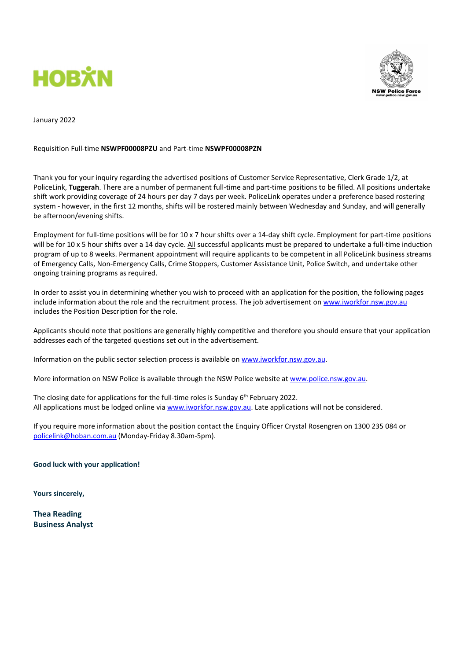



January 2022

#### Requisition Full-time NSWPF00008PZU and Part-time NSWPF00008PZN

Thank you for your inquiry regarding the advertised positions of Customer Service Representative, Clerk Grade 1/2, at PoliceLink, Tuggerah. There are a number of permanent full-time and part-time positions to be filled. All positions undertake shift work providing coverage of 24 hours per day 7 days per week. PoliceLink operates under a preference based rostering system - however, in the first 12 months, shifts will be rostered mainly between Wednesday and Sunday, and will generally be afternoon/evening shifts.

Employment for full-time positions will be for 10 x 7 hour shifts over a 14-day shift cycle. Employment for part-time positions will be for 10 x 5 hour shifts over a 14 day cycle. All successful applicants must be prepared to undertake a full-time induction program of up to 8 weeks. Permanent appointment will require applicants to be competent in all PoliceLink business streams of Emergency Calls, Non-Emergency Calls, Crime Stoppers, Customer Assistance Unit, Police Switch, and undertake other ongoing training programs as required.

In order to assist you in determining whether you wish to proceed with an application for the position, the following pages include information about the role and the recruitment process. The job advertisement on www.iworkfor.nsw.gov.au includes the Position Description for the role.

Applicants should note that positions are generally highly competitive and therefore you should ensure that your application addresses each of the targeted questions set out in the advertisement.

Information on the public sector selection process is available on www.iworkfor.nsw.gov.au.

More information on NSW Police is available through the NSW Police website at www.police.nsw.gov.au.

The closing date for applications for the full-time roles is Sunday 6<sup>th</sup> February 2022. All applications must be lodged online via www.iworkfor.nsw.gov.au. Late applications will not be considered.

If you require more information about the position contact the Enquiry Officer Crystal Rosengren on 1300 235 084 or policelink@hoban.com.au (Monday-Friday 8.30am-5pm).

Good luck with your application!

Yours sincerely,

Thea Reading Business Analyst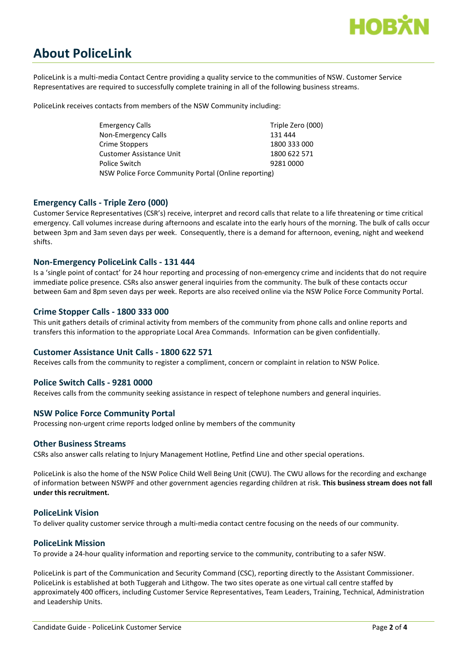

# About PoliceLink

PoliceLink is a multi-media Contact Centre providing a quality service to the communities of NSW. Customer Service Representatives are required to successfully complete training in all of the following business streams.

PoliceLink receives contacts from members of the NSW Community including:

| <b>Emergency Calls</b>                               | Triple Zero (000) |
|------------------------------------------------------|-------------------|
| Non-Emergency Calls                                  | 131 444           |
| Crime Stoppers                                       | 1800 333 000      |
| Customer Assistance Unit                             | 1800 622 571      |
| Police Switch                                        | 9281 0000         |
| NSW Police Force Community Portal (Online reporting) |                   |

## Emergency Calls - Triple Zero (000)

Customer Service Representatives (CSR's) receive, interpret and record calls that relate to a life threatening or time critical emergency. Call volumes increase during afternoons and escalate into the early hours of the morning. The bulk of calls occur between 3pm and 3am seven days per week. Consequently, there is a demand for afternoon, evening, night and weekend shifts.

#### Non-Emergency PoliceLink Calls - 131 444

Is a 'single point of contact' for 24 hour reporting and processing of non-emergency crime and incidents that do not require immediate police presence. CSRs also answer general inquiries from the community. The bulk of these contacts occur between 6am and 8pm seven days per week. Reports are also received online via the NSW Police Force Community Portal.

## Crime Stopper Calls - 1800 333 000

This unit gathers details of criminal activity from members of the community from phone calls and online reports and transfers this information to the appropriate Local Area Commands. Information can be given confidentially.

#### Customer Assistance Unit Calls - 1800 622 571

Receives calls from the community to register a compliment, concern or complaint in relation to NSW Police.

#### Police Switch Calls - 9281 0000

Receives calls from the community seeking assistance in respect of telephone numbers and general inquiries.

#### NSW Police Force Community Portal

Processing non-urgent crime reports lodged online by members of the community

#### Other Business Streams

CSRs also answer calls relating to Injury Management Hotline, Petfind Line and other special operations.

PoliceLink is also the home of the NSW Police Child Well Being Unit (CWU). The CWU allows for the recording and exchange of information between NSWPF and other government agencies regarding children at risk. This business stream does not fall under this recruitment.

#### PoliceLink Vision

To deliver quality customer service through a multi-media contact centre focusing on the needs of our community.

#### PoliceLink Mission

To provide a 24-hour quality information and reporting service to the community, contributing to a safer NSW.

PoliceLink is part of the Communication and Security Command (CSC), reporting directly to the Assistant Commissioner. PoliceLink is established at both Tuggerah and Lithgow. The two sites operate as one virtual call centre staffed by approximately 400 officers, including Customer Service Representatives, Team Leaders, Training, Technical, Administration and Leadership Units.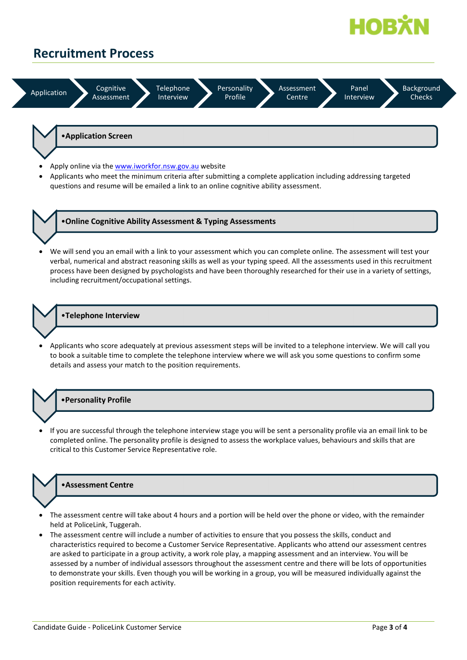

## Recruitment Process



•Application Screen

- Apply online via the www.iworkfor.nsw.gov.au website
- Applicants who meet the minimum criteria after submitting a complete application including addressing targeted questions and resume will be emailed a link to an online cognitive ability assessment.



- •Online Cognitive Ability Assessment & Typing Assessments
- We will send you an email with a link to your assessment which you can complete online. The assessment will test your verbal, numerical and abstract reasoning skills as well as your typing speed. All the assessments used in this recruitment process have been designed by psychologists and have been thoroughly researched for their use in a variety of settings, including recruitment/occupational settings.

## •Telephone Interview

 Applicants who score adequately at previous assessment steps will be invited to a telephone interview. We will call you to book a suitable time to complete the telephone interview where we will ask you some questions to confirm some details and assess your match to the position requirements.

#### •Personality Profile

 If you are successful through the telephone interview stage you will be sent a personality profile via an email link to be completed online. The personality profile is designed to assess the workplace values, behaviours and skills that are critical to this Customer Service Representative role.

## •Assessment Centre

- The assessment centre will take about 4 hours and a portion will be held over the phone or video, with the remainder held at PoliceLink, Tuggerah.
- The assessment centre will include a number of activities to ensure that you possess the skills, conduct and characteristics required to become a Customer Service Representative. Applicants who attend our assessment centres are asked to participate in a group activity, a work role play, a mapping assessment and an interview. You will be assessed by a number of individual assessors throughout the assessment centre and there will be lots of opportunities to demonstrate your skills. Even though you will be working in a group, you will be measured individually against the position requirements for each activity.